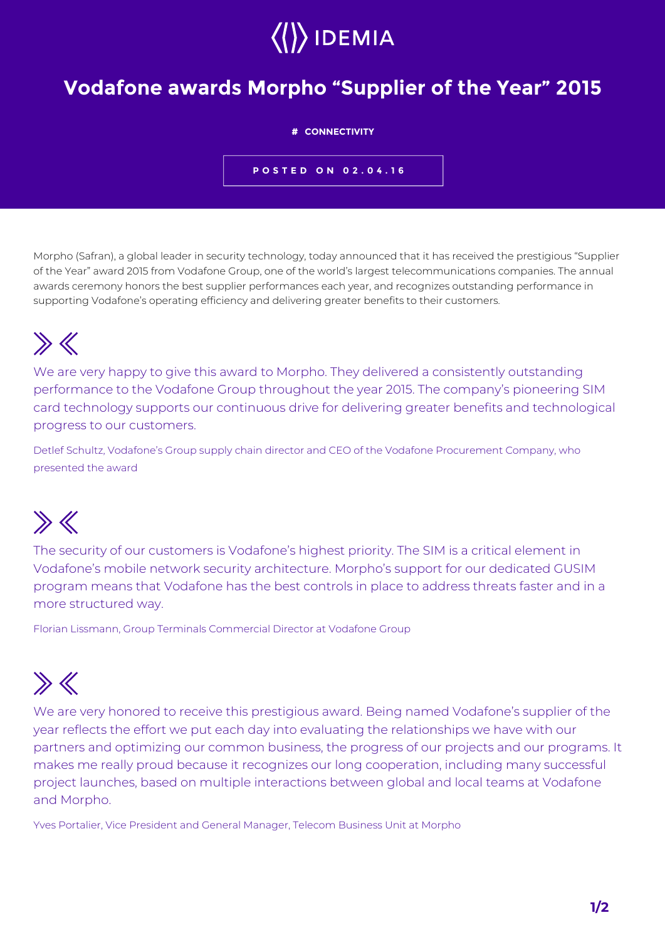

### **Vodafone awards Morpho "Supplier of the Year" 2015**

#### **# CONNECTIVITY**

**POSTED ON 02.04.16**

Morpho (Safran), a global leader in security technology, today announced that it has received the prestigious "Supplier of the Year" award 2015 from Vodafone Group, one of the world's largest telecommunications companies. The annual awards ceremony honors the best supplier performances each year, and recognizes outstanding performance in supporting Vodafone's operating efficiency and delivering greater benefits to their customers.

# $\gg K$

We are very happy to give this award to Morpho. They delivered a consistently outstanding performance to the Vodafone Group throughout the year 2015. The company's pioneering SIM card technology supports our continuous drive for delivering greater benefits and technological progress to our customers.

Detlef Schultz, Vodafone's Group supply chain director and CEO of the Vodafone Procurement Company, who presented the award

# $\gg K$

The security of our customers is Vodafone's highest priority. The SIM is a critical element in Vodafone's mobile network security architecture. Morpho's support for our dedicated GUSIM program means that Vodafone has the best controls in place to address threats faster and in a more structured way.

Florian Lissmann, Group Terminals Commercial Director at Vodafone Group

# $\gg K$

We are very honored to receive this prestigious award. Being named Vodafone's supplier of the year reflects the effort we put each day into evaluating the relationships we have with our partners and optimizing our common business, the progress of our projects and our programs. It makes me really proud because it recognizes our long cooperation, including many successful project launches, based on multiple interactions between global and local teams at Vodafone and Morpho.

Yves Portalier, Vice President and General Manager, Telecom Business Unit at Morpho